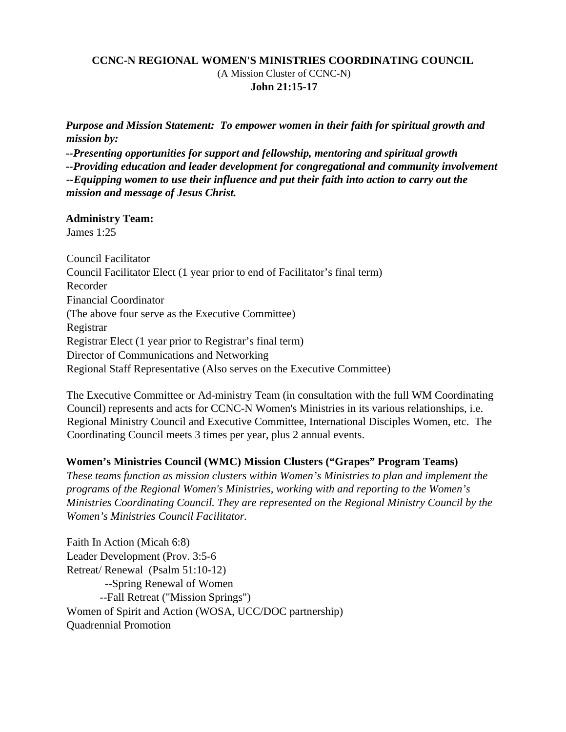## **CCNC-N REGIONAL WOMEN'S MINISTRIES COORDINATING COUNCIL**  (A Mission Cluster of CCNC-N)  **John 21:15-17**

*Purpose and Mission Statement: To empower women in their faith for spiritual growth and mission by:* 

*--Presenting opportunities for support and fellowship, mentoring and spiritual growth --Providing education and leader development for congregational and community involvement --Equipping women to use their influence and put their faith into action to carry out the mission and message of Jesus Christ.* 

### **Administry Team:**

James 1:25

Council Facilitator Council Facilitator Elect (1 year prior to end of Facilitator's final term) Recorder Financial Coordinator (The above four serve as the Executive Committee) Registrar Registrar Elect (1 year prior to Registrar's final term) Director of Communications and Networking Regional Staff Representative (Also serves on the Executive Committee)

The Executive Committee or Ad-ministry Team (in consultation with the full WM Coordinating Council) represents and acts for CCNC-N Women's Ministries in its various relationships, i.e. Regional Ministry Council and Executive Committee, International Disciples Women, etc. The Coordinating Council meets 3 times per year, plus 2 annual events.

### **Women's Ministries Council (WMC) Mission Clusters ("Grapes" Program Teams)**

*These teams function as mission clusters within Women's Ministries to plan and implement the programs of the Regional Women's Ministries, working with and reporting to the Women's Ministries Coordinating Council. They are represented on the Regional Ministry Council by the Women's Ministries Council Facilitator.* 

Faith In Action (Micah 6:8) Leader Development (Prov. 3:5-6 Retreat/ Renewal (Psalm 51:10-12) --Spring Renewal of Women --Fall Retreat ("Mission Springs") Women of Spirit and Action (WOSA, UCC/DOC partnership) Quadrennial Promotion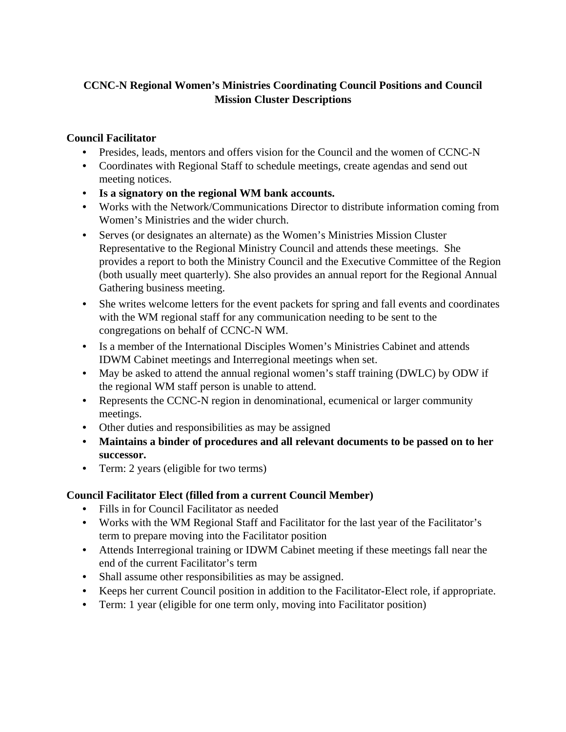# **CCNC-N Regional Women's Ministries Coordinating Council Positions and Council Mission Cluster Descriptions**

## **Council Facilitator**

- Presides, leads, mentors and offers vision for the Council and the women of CCNC-N
- Coordinates with Regional Staff to schedule meetings, create agendas and send out meeting notices.
- **Is a signatory on the regional WM bank accounts.**
- Works with the Network/Communications Director to distribute information coming from Women's Ministries and the wider church.
- Serves (or designates an alternate) as the Women's Ministries Mission Cluster Representative to the Regional Ministry Council and attends these meetings. She provides a report to both the Ministry Council and the Executive Committee of the Region (both usually meet quarterly). She also provides an annual report for the Regional Annual Gathering business meeting.
- She writes welcome letters for the event packets for spring and fall events and coordinates with the WM regional staff for any communication needing to be sent to the congregations on behalf of CCNC-N WM.
- Is a member of the International Disciples Women's Ministries Cabinet and attends IDWM Cabinet meetings and Interregional meetings when set.
- May be asked to attend the annual regional women's staff training (DWLC) by ODW if the regional WM staff person is unable to attend.
- Represents the CCNC-N region in denominational, ecumenical or larger community meetings.
- Other duties and responsibilities as may be assigned
- **Maintains a binder of procedures and all relevant documents to be passed on to her successor.**
- Term: 2 years (eligible for two terms)

# **Council Facilitator Elect (filled from a current Council Member)**

- Fills in for Council Facilitator as needed
- Works with the WM Regional Staff and Facilitator for the last year of the Facilitator's term to prepare moving into the Facilitator position
- Attends Interregional training or IDWM Cabinet meeting if these meetings fall near the end of the current Facilitator's term
- Shall assume other responsibilities as may be assigned.
- Keeps her current Council position in addition to the Facilitator-Elect role, if appropriate.
- Term: 1 year (eligible for one term only, moving into Facilitator position)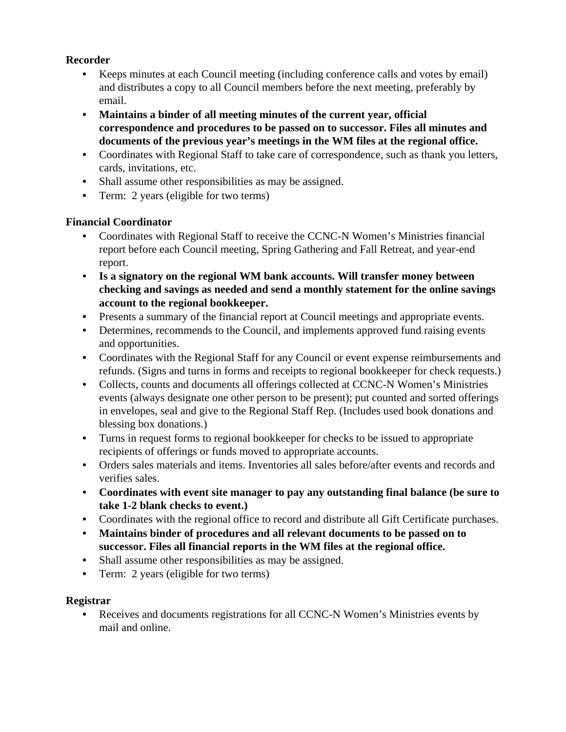## **Recorder**

- Keeps minutes at each Council meeting (including conference calls and votes by email) and distributes a copy to all Council members before the next meeting, preferably by email.
- **Maintains a binder of all meeting minutes of the current year, official correspondence and procedures to be passed on to successor. Files all minutes and documents of the previous year's meetings in the WM files at the regional office.**
- Coordinates with Regional Staff to take care of correspondence, such as thank you letters, cards, invitations, etc.
- Shall assume other responsibilities as may be assigned.
- Term: 2 years (eligible for two terms)

# **Financial Coordinator**

- Coordinates with Regional Staff to receive the CCNC-N Women's Ministries financial report before each Council meeting, Spring Gathering and Fall Retreat, and year-end report.
- **Is a signatory on the regional WM bank accounts. Will transfer money between checking and savings as needed and send a monthly statement for the online savings account to the regional bookkeeper.**
- Presents a summary of the financial report at Council meetings and appropriate events.
- Determines, recommends to the Council, and implements approved fund raising events and opportunities.
- Coordinates with the Regional Staff for any Council or event expense reimbursements and refunds. (Signs and turns in forms and receipts to regional bookkeeper for check requests.)
- Collects, counts and documents all offerings collected at CCNC-N Women's Ministries events (always designate one other person to be present); put counted and sorted offerings in envelopes, seal and give to the Regional Staff Rep. (Includes used book donations and blessing box donations.)
- Turns in request forms to regional bookkeeper for checks to be issued to appropriate recipients of offerings or funds moved to appropriate accounts.
- Orders sales materials and items. Inventories all sales before/after events and records and verifies sales.
- **Coordinates with event site manager to pay any outstanding final balance (be sure to take 1-2 blank checks to event.)**
- Coordinates with the regional office to record and distribute all Gift Certificate purchases.
- **Maintains binder of procedures and all relevant documents to be passed on to successor. Files all financial reports in the WM files at the regional office.**
- Shall assume other responsibilities as may be assigned.
- Term: 2 years (eligible for two terms)

# **Registrar**

Receives and documents registrations for all CCNC-N Women's Ministries events by mail and online.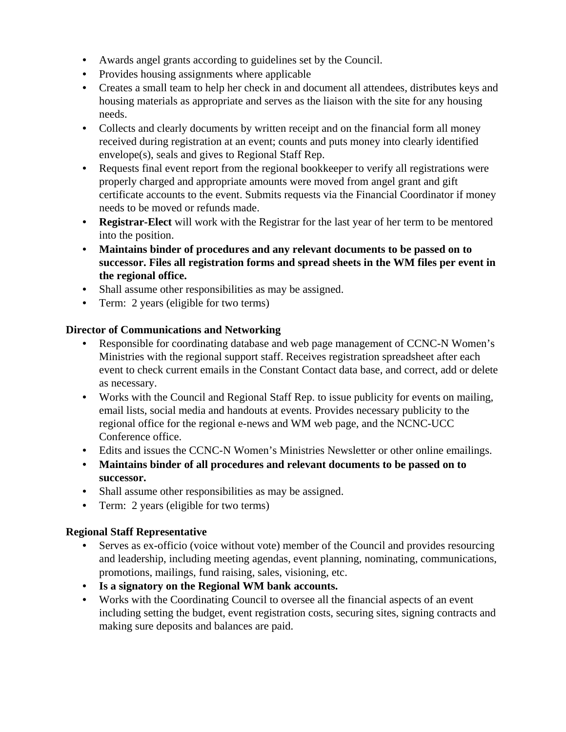- Awards angel grants according to guidelines set by the Council.
- Provides housing assignments where applicable
- Creates a small team to help her check in and document all attendees, distributes keys and housing materials as appropriate and serves as the liaison with the site for any housing needs.
- Collects and clearly documents by written receipt and on the financial form all money received during registration at an event; counts and puts money into clearly identified envelope(s), seals and gives to Regional Staff Rep.
- Requests final event report from the regional bookkeeper to verify all registrations were properly charged and appropriate amounts were moved from angel grant and gift certificate accounts to the event. Submits requests via the Financial Coordinator if money needs to be moved or refunds made.
- **Registrar-Elect** will work with the Registrar for the last year of her term to be mentored into the position.
- **Maintains binder of procedures and any relevant documents to be passed on to successor. Files all registration forms and spread sheets in the WM files per event in the regional office.**
- Shall assume other responsibilities as may be assigned.
- Term: 2 years (eligible for two terms)

## **Director of Communications and Networking**

- Responsible for coordinating database and web page management of CCNC-N Women's Ministries with the regional support staff. Receives registration spreadsheet after each event to check current emails in the Constant Contact data base, and correct, add or delete as necessary.
- Works with the Council and Regional Staff Rep. to issue publicity for events on mailing, email lists, social media and handouts at events. Provides necessary publicity to the regional office for the regional e-news and WM web page, and the NCNC-UCC Conference office.
- Edits and issues the CCNC-N Women's Ministries Newsletter or other online emailings.
- **Maintains binder of all procedures and relevant documents to be passed on to successor.**
- Shall assume other responsibilities as may be assigned.
- Term: 2 years (eligible for two terms)

## **Regional Staff Representative**

- Serves as ex-officio (voice without vote) member of the Council and provides resourcing and leadership, including meeting agendas, event planning, nominating, communications, promotions, mailings, fund raising, sales, visioning, etc.
- **Is a signatory on the Regional WM bank accounts.**
- Works with the Coordinating Council to oversee all the financial aspects of an event including setting the budget, event registration costs, securing sites, signing contracts and making sure deposits and balances are paid.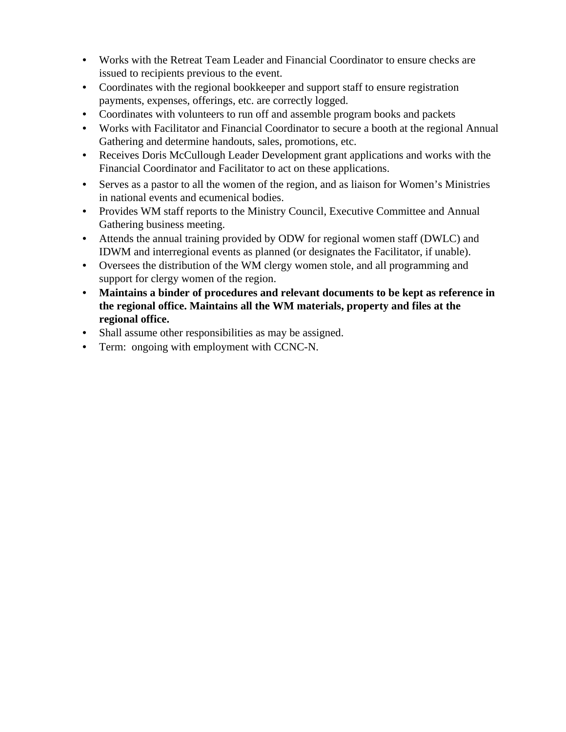- Works with the Retreat Team Leader and Financial Coordinator to ensure checks are issued to recipients previous to the event.
- Coordinates with the regional bookkeeper and support staff to ensure registration payments, expenses, offerings, etc. are correctly logged.
- Coordinates with volunteers to run off and assemble program books and packets
- Works with Facilitator and Financial Coordinator to secure a booth at the regional Annual Gathering and determine handouts, sales, promotions, etc.
- Receives Doris McCullough Leader Development grant applications and works with the Financial Coordinator and Facilitator to act on these applications.
- Serves as a pastor to all the women of the region, and as liaison for Women's Ministries in national events and ecumenical bodies.
- Provides WM staff reports to the Ministry Council, Executive Committee and Annual Gathering business meeting.
- Attends the annual training provided by ODW for regional women staff (DWLC) and IDWM and interregional events as planned (or designates the Facilitator, if unable).
- Oversees the distribution of the WM clergy women stole, and all programming and support for clergy women of the region.
- **Maintains a binder of procedures and relevant documents to be kept as reference in the regional office. Maintains all the WM materials, property and files at the regional office.**
- Shall assume other responsibilities as may be assigned.
- Term: ongoing with employment with CCNC-N.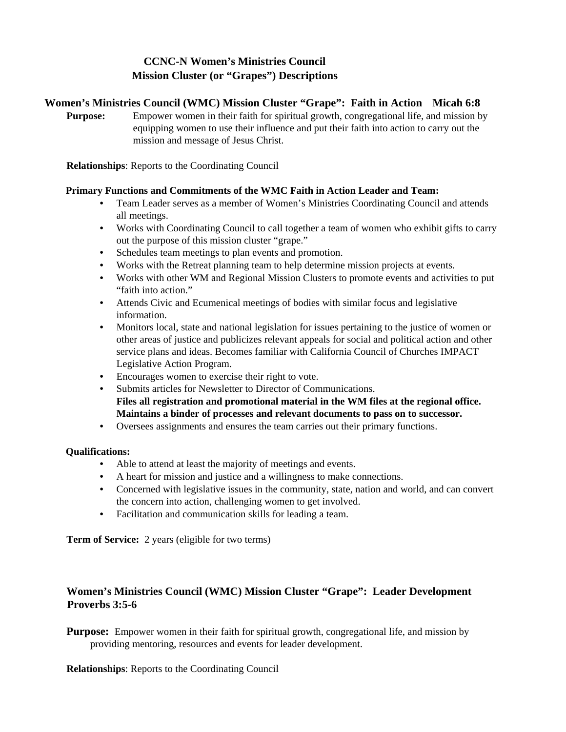# **CCNC-N Women's Ministries Council Mission Cluster (or "Grapes") Descriptions**

### **Women's Ministries Council (WMC) Mission Cluster "Grape": Faith in Action Micah 6:8**

**Purpose:** Empower women in their faith for spiritual growth, congregational life, and mission by equipping women to use their influence and put their faith into action to carry out the mission and message of Jesus Christ.

**Relationships**: Reports to the Coordinating Council

### **Primary Functions and Commitments of the WMC Faith in Action Leader and Team:**

- Team Leader serves as a member of Women's Ministries Coordinating Council and attends all meetings.
- Works with Coordinating Council to call together a team of women who exhibit gifts to carry out the purpose of this mission cluster "grape."
- Schedules team meetings to plan events and promotion.
- Works with the Retreat planning team to help determine mission projects at events.
- Works with other WM and Regional Mission Clusters to promote events and activities to put "faith into action."
- Attends Civic and Ecumenical meetings of bodies with similar focus and legislative information.
- Monitors local, state and national legislation for issues pertaining to the justice of women or other areas of justice and publicizes relevant appeals for social and political action and other service plans and ideas. Becomes familiar with California Council of Churches IMPACT Legislative Action Program.
- Encourages women to exercise their right to vote.
- Submits articles for Newsletter to Director of Communications. **Files all registration and promotional material in the WM files at the regional office. Maintains a binder of processes and relevant documents to pass on to successor.**
- Oversees assignments and ensures the team carries out their primary functions.

#### **Qualifications:**

- Able to attend at least the majority of meetings and events.
- A heart for mission and justice and a willingness to make connections.
- Concerned with legislative issues in the community, state, nation and world, and can convert the concern into action, challenging women to get involved.
- Facilitation and communication skills for leading a team.

**Term of Service:** 2 years (eligible for two terms)

## **Women's Ministries Council (WMC) Mission Cluster "Grape": Leader Development Proverbs 3:5-6**

**Purpose:** Empower women in their faith for spiritual growth, congregational life, and mission by providing mentoring, resources and events for leader development.

**Relationships**: Reports to the Coordinating Council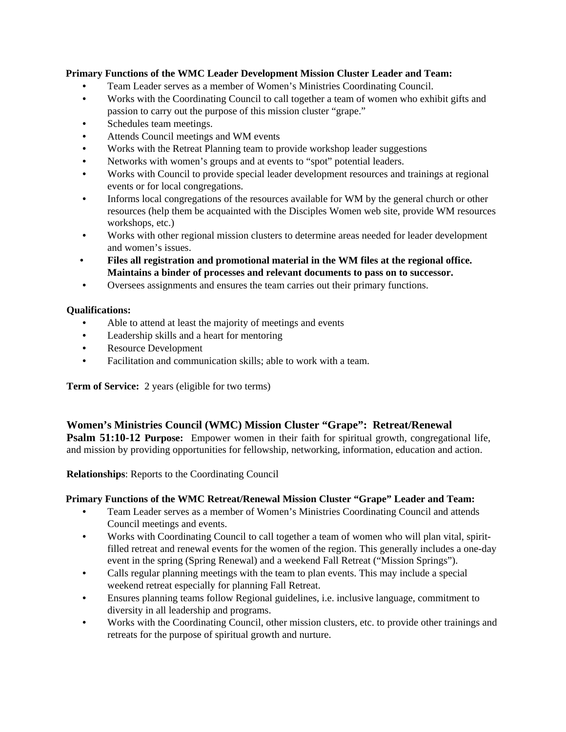### **Primary Functions of the WMC Leader Development Mission Cluster Leader and Team:**

- Team Leader serves as a member of Women's Ministries Coordinating Council.
- Works with the Coordinating Council to call together a team of women who exhibit gifts and passion to carry out the purpose of this mission cluster "grape."
- Schedules team meetings.
- Attends Council meetings and WM events
- Works with the Retreat Planning team to provide workshop leader suggestions
- Networks with women's groups and at events to "spot" potential leaders.
- Works with Council to provide special leader development resources and trainings at regional events or for local congregations.
- Informs local congregations of the resources available for WM by the general church or other resources (help them be acquainted with the Disciples Women web site, provide WM resources workshops, etc.)
- Works with other regional mission clusters to determine areas needed for leader development and women's issues.
- **Files all registration and promotional material in the WM files at the regional office. Maintains a binder of processes and relevant documents to pass on to successor.**
- Oversees assignments and ensures the team carries out their primary functions.

### **Qualifications:**

- Able to attend at least the majority of meetings and events
- Leadership skills and a heart for mentoring
- Resource Development
- Facilitation and communication skills; able to work with a team.

**Term of Service:** 2 years (eligible for two terms)

### **Women's Ministries Council (WMC) Mission Cluster "Grape": Retreat/Renewal**

**Psalm 51:10-12 Purpose:** Empower women in their faith for spiritual growth, congregational life, and mission by providing opportunities for fellowship, networking, information, education and action.

**Relationships**: Reports to the Coordinating Council

### **Primary Functions of the WMC Retreat/Renewal Mission Cluster "Grape" Leader and Team:**

- Team Leader serves as a member of Women's Ministries Coordinating Council and attends Council meetings and events.
- Works with Coordinating Council to call together a team of women who will plan vital, spiritfilled retreat and renewal events for the women of the region. This generally includes a one-day event in the spring (Spring Renewal) and a weekend Fall Retreat ("Mission Springs").
- Calls regular planning meetings with the team to plan events. This may include a special weekend retreat especially for planning Fall Retreat.
- Ensures planning teams follow Regional guidelines, i.e. inclusive language, commitment to diversity in all leadership and programs.
- Works with the Coordinating Council, other mission clusters, etc. to provide other trainings and retreats for the purpose of spiritual growth and nurture.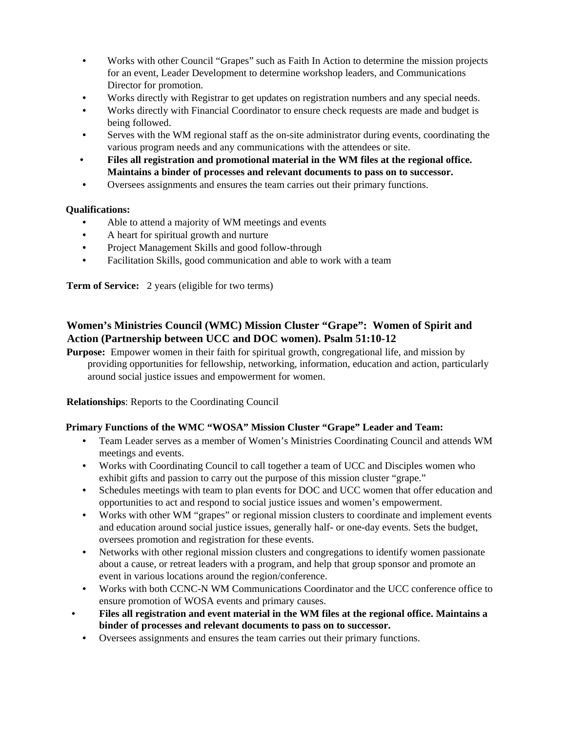- Works with other Council "Grapes" such as Faith In Action to determine the mission projects for an event, Leader Development to determine workshop leaders, and Communications Director for promotion.
- Works directly with Registrar to get updates on registration numbers and any special needs.
- Works directly with Financial Coordinator to ensure check requests are made and budget is being followed.
- Serves with the WM regional staff as the on-site administrator during events, coordinating the various program needs and any communications with the attendees or site.
- **Files all registration and promotional material in the WM files at the regional office. Maintains a binder of processes and relevant documents to pass on to successor.**
- Oversees assignments and ensures the team carries out their primary functions.

### **Qualifications:**

- Able to attend a majority of WM meetings and events
- A heart for spiritual growth and nurture
- Project Management Skills and good follow-through
- Facilitation Skills, good communication and able to work with a team

**Term of Service:** 2 years (eligible for two terms)

## **Women's Ministries Council (WMC) Mission Cluster "Grape": Women of Spirit and Action (Partnership between UCC and DOC women). Psalm 51:10-12**

**Purpose:** Empower women in their faith for spiritual growth, congregational life, and mission by providing opportunities for fellowship, networking, information, education and action, particularly around social justice issues and empowerment for women.

**Relationships**: Reports to the Coordinating Council

### **Primary Functions of the WMC "WOSA" Mission Cluster "Grape" Leader and Team:**

- Team Leader serves as a member of Women's Ministries Coordinating Council and attends WM meetings and events.
- Works with Coordinating Council to call together a team of UCC and Disciples women who exhibit gifts and passion to carry out the purpose of this mission cluster "grape."
- Schedules meetings with team to plan events for DOC and UCC women that offer education and opportunities to act and respond to social justice issues and women's empowerment.
- Works with other WM "grapes" or regional mission clusters to coordinate and implement events and education around social justice issues, generally half- or one-day events. Sets the budget, oversees promotion and registration for these events.
- Networks with other regional mission clusters and congregations to identify women passionate about a cause, or retreat leaders with a program, and help that group sponsor and promote an event in various locations around the region/conference.
- Works with both CCNC-N WM Communications Coordinator and the UCC conference office to ensure promotion of WOSA events and primary causes.
- **Files all registration and event material in the WM files at the regional office. Maintains a binder of processes and relevant documents to pass on to successor.** 
	- Oversees assignments and ensures the team carries out their primary functions.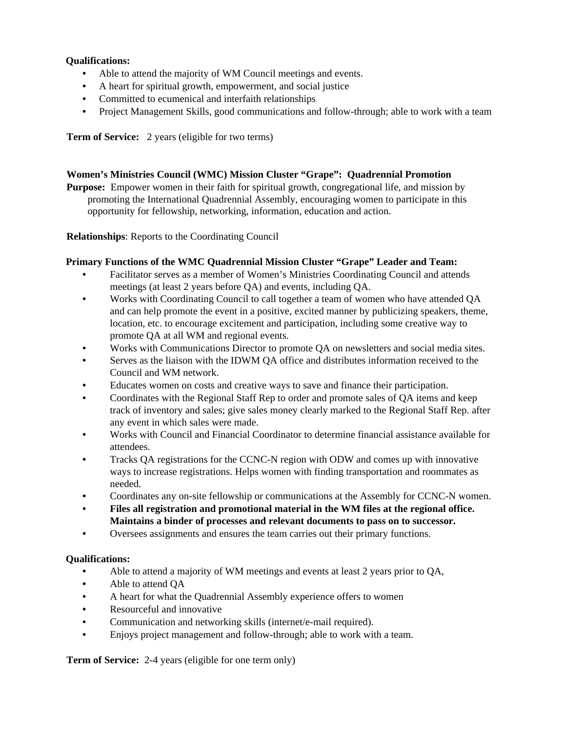### **Qualifications:**

- Able to attend the majority of WM Council meetings and events.
- A heart for spiritual growth, empowerment, and social justice
- Committed to ecumenical and interfaith relationships
- Project Management Skills, good communications and follow-through; able to work with a team

**Term of Service:** 2 years (eligible for two terms)

#### **Women's Ministries Council (WMC) Mission Cluster "Grape": Quadrennial Promotion**

**Purpose:** Empower women in their faith for spiritual growth, congregational life, and mission by promoting the International Quadrennial Assembly, encouraging women to participate in this opportunity for fellowship, networking, information, education and action.

**Relationships**: Reports to the Coordinating Council

#### **Primary Functions of the WMC Quadrennial Mission Cluster "Grape" Leader and Team:**

- Facilitator serves as a member of Women's Ministries Coordinating Council and attends meetings (at least 2 years before QA) and events, including QA.
- Works with Coordinating Council to call together a team of women who have attended QA and can help promote the event in a positive, excited manner by publicizing speakers, theme, location, etc. to encourage excitement and participation, including some creative way to promote QA at all WM and regional events.
- Works with Communications Director to promote QA on newsletters and social media sites.
- Serves as the liaison with the IDWM QA office and distributes information received to the Council and WM network.
- Educates women on costs and creative ways to save and finance their participation.
- Coordinates with the Regional Staff Rep to order and promote sales of QA items and keep track of inventory and sales; give sales money clearly marked to the Regional Staff Rep. after any event in which sales were made.
- Works with Council and Financial Coordinator to determine financial assistance available for attendees.
- Tracks QA registrations for the CCNC-N region with ODW and comes up with innovative ways to increase registrations. Helps women with finding transportation and roommates as needed.
- Coordinates any on-site fellowship or communications at the Assembly for CCNC-N women.
- **Files all registration and promotional material in the WM files at the regional office. Maintains a binder of processes and relevant documents to pass on to successor.**
- Oversees assignments and ensures the team carries out their primary functions.

#### **Qualifications:**

- Able to attend a majority of WM meetings and events at least 2 years prior to QA,
- Able to attend QA
- A heart for what the Quadrennial Assembly experience offers to women
- Resourceful and innovative
- Communication and networking skills (internet/e-mail required).
- Enjoys project management and follow-through; able to work with a team.

**Term of Service:** 2-4 years (eligible for one term only)